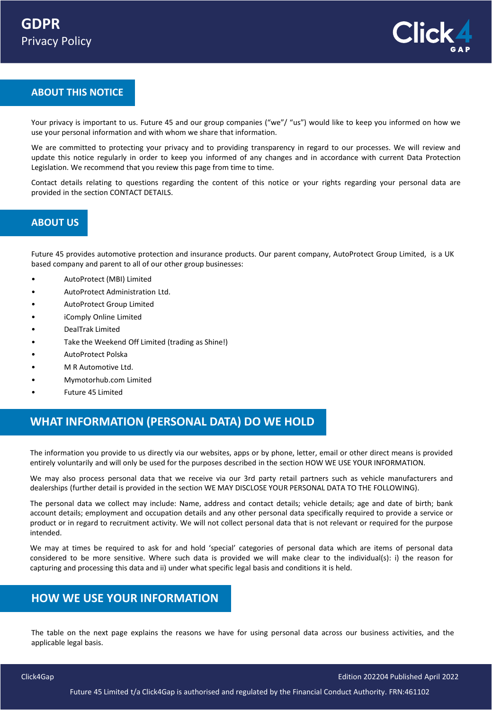

### **ABOUT THIS NOTICE**

Your privacy is important to us. Future 45 and our group companies ("we"/ "us") would like to keep you informed on how we use your personal information and with whom we share that information.

We are committed to protecting your privacy and to providing transparency in regard to our processes. We will review and update this notice regularly in order to keep you informed of any changes and in accordance with current Data Protection Legislation. We recommend that you review this page from time to time.

Contact details relating to questions regarding the content of this notice or your rights regarding your personal data are provided in the section CONTACT DETAILS.

### **ABOUT US**

Future 45 provides automotive protection and insurance products. Our parent company, AutoProtect Group Limited, is a UK based company and parent to all of our other group businesses:

- AutoProtect (MBI) Limited
- AutoProtect Administration Ltd.
- AutoProtect Group Limited
- iComply Online Limited
- **•** DealTrak Limited
- Take the Weekend Off Limited (trading as Shine!)
- AutoProtect Polska
- M R Automotive Ltd.
- Mymotorhub.com Limited
- Future 45 Limited

## **WHAT INFORMATION (PERSONAL DATA) DO WE HOLD**

The information you provide to us directly via our websites, apps or by phone, letter, email or other direct means is provided entirely voluntarily and will only be used for the purposes described in the section HOW WE USE YOUR INFORMATION.

We may also process personal data that we receive via our 3rd party retail partners such as vehicle manufacturers and dealerships (further detail is provided in the section WE MAY DISCLOSE YOUR PERSONAL DATA TO THE FOLLOWING).

The personal data we collect may include: Name, address and contact details; vehicle details; age and date of birth; bank account details; employment and occupation details and any other personal data specifically required to provide a service or product or in regard to recruitment activity. We will not collect personal data that is not relevant or required for the purpose intended.

We may at times be required to ask for and hold 'special' categories of personal data which are items of personal data considered to be more sensitive. Where such data is provided we will make clear to the individual(s): i) the reason for capturing and processing this data and ii) under what specific legal basis and conditions it is held.

### **HOW WE USE YOUR INFORMATION**

The table on the next page explains the reasons we have for using personal data across our business activities, and the applicable legal basis.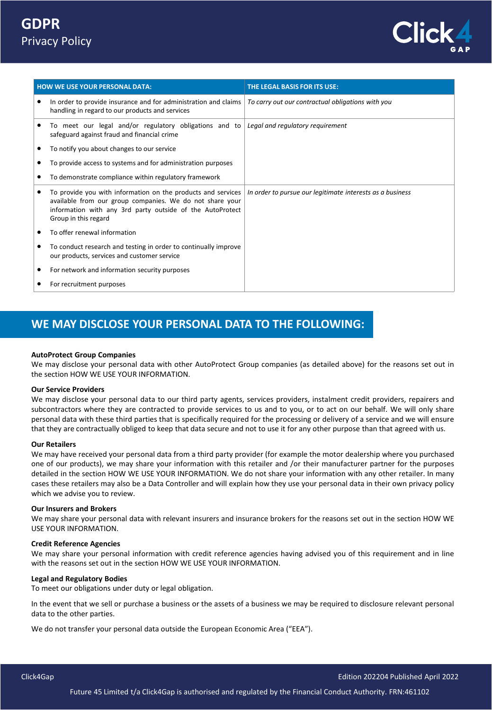

| <b>HOW WE USE YOUR PERSONAL DATA:</b> |                                                                                                                                                                                                                    | THE LEGAL BASIS FOR ITS USE:                              |  |
|---------------------------------------|--------------------------------------------------------------------------------------------------------------------------------------------------------------------------------------------------------------------|-----------------------------------------------------------|--|
|                                       | In order to provide insurance and for administration and claims<br>٠<br>handling in regard to our products and services                                                                                            | To carry out our contractual obligations with you         |  |
|                                       | To meet our legal and/or regulatory obligations and to<br>٠<br>safeguard against fraud and financial crime                                                                                                         | Legal and regulatory requirement                          |  |
|                                       | To notify you about changes to our service<br>٠                                                                                                                                                                    |                                                           |  |
|                                       | To provide access to systems and for administration purposes<br>٠                                                                                                                                                  |                                                           |  |
|                                       | To demonstrate compliance within regulatory framework<br>٠                                                                                                                                                         |                                                           |  |
|                                       | To provide you with information on the products and services<br>٠<br>available from our group companies. We do not share your<br>information with any 3rd party outside of the AutoProtect<br>Group in this regard | In order to pursue our legitimate interests as a business |  |
|                                       | To offer renewal information<br>٠                                                                                                                                                                                  |                                                           |  |
|                                       | To conduct research and testing in order to continually improve<br>٠<br>our products, services and customer service                                                                                                |                                                           |  |
|                                       | For network and information security purposes<br>٠                                                                                                                                                                 |                                                           |  |
|                                       | For recruitment purposes<br>٠                                                                                                                                                                                      |                                                           |  |

## **WE MAY DISCLOSE YOUR PERSONAL DATA TO THE FOLLOWING:**

#### **AutoProtect Group Companies**

We may disclose your personal data with other AutoProtect Group companies (as detailed above) for the reasons set out in the section HOW WE USE YOUR INFORMATION.

#### **Our Service Providers**

We may disclose your personal data to our third party agents, services providers, instalment credit providers, repairers and subcontractors where they are contracted to provide services to us and to you, or to act on our behalf. We will only share personal data with these third parties that is specifically required for the processing or delivery of a service and we will ensure that they are contractually obliged to keep that data secure and not to use it for any other purpose than that agreed with us.

#### **Our Retailers**

We may have received your personal data from a third party provider (for example the motor dealership where you purchased one of our products), we may share your information with this retailer and /or their manufacturer partner for the purposes detailed in the section HOW WE USE YOUR INFORMATION. We do not share your information with any other retailer. In many cases these retailers may also be a Data Controller and will explain how they use your personal data in their own privacy policy which we advise you to review.

#### **Our Insurers and Brokers**

We may share your personal data with relevant insurers and insurance brokers for the reasons set out in the section HOW WE USE YOUR INFORMATION.

#### **Credit Reference Agencies**

We may share your personal information with credit reference agencies having advised you of this requirement and in line with the reasons set out in the section HOW WE USE YOUR INFORMATION.

#### **Legal and Regulatory Bodies**

To meet our obligations under duty or legal obligation.

In the event that we sell or purchase a business or the assets of a business we may be required to disclosure relevant personal data to the other parties.

We do not transfer your personal data outside the European Economic Area ("EEA").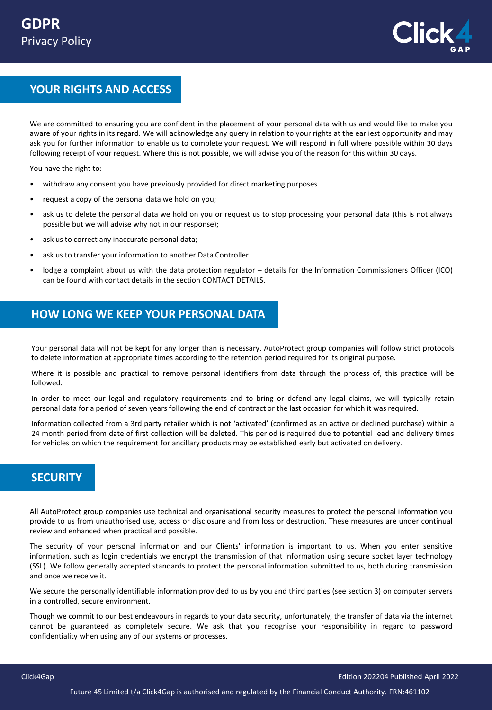

## **YOUR RIGHTS AND ACCESS**

We are committed to ensuring you are confident in the placement of your personal data with us and would like to make you aware of your rights in its regard. We will acknowledge any query in relation to your rights at the earliest opportunity and may ask you for further information to enable us to complete your request. We will respond in full where possible within 30 days following receipt of your request. Where this is not possible, we will advise you of the reason for this within 30 days.

You have the right to:

- withdraw any consent you have previously provided for direct marketing purposes
- request a copy of the personal data we hold on you;
- ask us to delete the personal data we hold on you or request us to stop processing your personal data (this is not always possible but we will advise why not in our response);
- ask us to correct any inaccurate personal data;
- ask us to transfer your information to another Data Controller
- lodge a complaint about us with the data protection regulator details for the Information Commissioners Officer (ICO) can be found with contact details in the section CONTACT DETAILS.

### **HOW LONG WE KEEP YOUR PERSONAL DATA**

Your personal data will not be kept for any longer than is necessary. AutoProtect group companies will follow strict protocols to delete information at appropriate times according to the retention period required for its original purpose.

Where it is possible and practical to remove personal identifiers from data through the process of, this practice will be followed.

In order to meet our legal and regulatory requirements and to bring or defend any legal claims, we will typically retain personal data for a period of seven years following the end of contract or the last occasion for which it was required.

Information collected from a 3rd party retailer which is not 'activated' (confirmed as an active or declined purchase) within a 24 month period from date of first collection will be deleted. This period is required due to potential lead and delivery times for vehicles on which the requirement for ancillary products may be established early but activated on delivery.

### **SECURITY**

All AutoProtect group companies use technical and organisational security measures to protect the personal information you provide to us from unauthorised use, access or disclosure and from loss or destruction. These measures are under continual review and enhanced when practical and possible.

The security of your personal information and our Clients' information is important to us. When you enter sensitive information, such as login credentials we encrypt the transmission of that information using secure socket layer technology (SSL). We follow generally accepted standards to protect the personal information submitted to us, both during transmission and once we receive it.

We secure the personally identifiable information provided to us by you and third parties (see section 3) on computer servers in a controlled, secure environment.

Though we commit to our best endeavours in regards to your data security, unfortunately, the transfer of data via the internet cannot be guaranteed as completely secure. We ask that you recognise your responsibility in regard to password confidentiality when using any of our systems or processes.